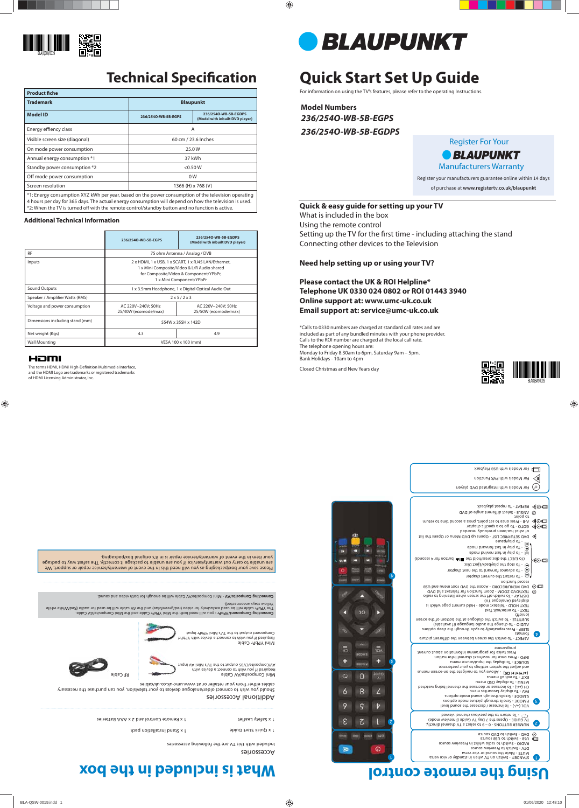# **Quick Start Set Up Guide**

For information on using the TV's features, please refer to the operating Instructions.

**Model Numbers** *236/254O-WB-5B-EGPS 236/254O-WB-5B-EGDPS*

## Additional Accessories Should you wish to connect older/analogue devices to your television, you can purchase the necessary cables either from your retailer or at www.umc-uk.co.uk/cables Mini Composite/AV Cable Mini YPbPr Cable Yellow stays unconnected). 1 x Safety Leaflet

Please save your box/packaging as you will need this in the event of warranty/service repair or support. We are unable to carry out warranty/service if you are unable to package it correctly. The safest way to package your item in the event of warranty/service repair is in it's original box/packaging.

Comnecting Composite/AV - Mini Composite/AV Cable will be enough diposite obth video and sound.

# **Using the remote control In the box 10 the box 10 the box**

1 x Quick Start Guide

1 x Remote Control and 2 x AAA Batteries

1 x Stand installation pack

Required if you wish to connect a device with AV/Composite/CVBS output to the TV's Mini AV Input

Required if you wish to connect a device with YPbPr/ Component output to the TV's Mini YPbPr Input





The terms HDMI, HDMI High-Definition Multimedia Interface, and the HDMI Logo are trademarks or registered trademarks of HDMI Licensing Administrator, Inc.



| <b>Product fiche</b>                                                                                          |                     |                                                         |  |  |
|---------------------------------------------------------------------------------------------------------------|---------------------|---------------------------------------------------------|--|--|
| <b>Trademark</b>                                                                                              | <b>Blaupunkt</b>    |                                                         |  |  |
| <b>Model ID</b>                                                                                               | 236/2540-WB-5B-EGPS | 236/2540-WB-5B-EGDPS<br>(Model with inbuilt DVD player) |  |  |
| Energy effiency class                                                                                         | A                   |                                                         |  |  |
| Visible screen size (diagonal)                                                                                | 60 cm / 23.6 Inches |                                                         |  |  |
| On mode power consumption                                                                                     | 25.0W               |                                                         |  |  |
| Annual energy consumption *1                                                                                  | 37 kWh              |                                                         |  |  |
| Standby power consumption *2                                                                                  | < 0.50 W            |                                                         |  |  |
| Off mode power consumption                                                                                    | 0W                  |                                                         |  |  |
| Screen resolution                                                                                             | 1366 (H) x 768 (V)  |                                                         |  |  |
| 84 F. Carolina Communication (VIT LAME arranged Engel Langle arranged Communication of the technology arrange |                     |                                                         |  |  |

Setting up the TV for the first time - including attaching the stand Connecting other devices to the Television

\*1: Energy consumption XYZ kWh per year, based on the power consumption of the television operating 4 hours per day for 365 days. The actual energy consumption will depend on how the television is used. \*2: When the TV is turned off with the remote control/standby button and no function is active.

#### **Additional Technical Information**

|                                 | 236/2540-WB-5B-EGPS                                                                                                                                                       | 236/2540-WB-5B-EGDPS<br>(Model with inbuilt DVD player) |  |
|---------------------------------|---------------------------------------------------------------------------------------------------------------------------------------------------------------------------|---------------------------------------------------------|--|
| <b>RF</b>                       | 75 ohm Antenna / Analog / DVB                                                                                                                                             |                                                         |  |
| Inputs                          | 2 x HDMI, 1 x USB, 1 x SCART, 1 x RJ45 LAN/Ethernet,<br>1 x Mini Composite/Video & L/R Audio shared<br>for Composite/Video & Component/YPbPr,<br>1 x Mini Component/YPbPr |                                                         |  |
| <b>Sound Outputs</b>            | 1 x 3.5mm Headphone, 1 x Digital Optical Audio Out                                                                                                                        |                                                         |  |
| Speaker / Amplifier Watts (RMS) | 2x5/2x3                                                                                                                                                                   |                                                         |  |
| Voltage and power consumption   | AC 220V~240V; 50Hz<br>25/40W (ecomode/max)                                                                                                                                | AC 220V~240V; 50Hz<br>25/50W (ecomode/max)              |  |
| Dimensions including stand (mm) | 554W x 355H x 142D                                                                                                                                                        |                                                         |  |
| Net weight (Kgs)                | 4.3                                                                                                                                                                       | 4.9                                                     |  |
| <b>Wall Mounting</b>            | VESA 100 x 100 (mm)                                                                                                                                                       |                                                         |  |

#### HƏMI

formats  $\left( \frac{1}{2} \right)$ 

Accessories

Included with this TV are the following accessories

### **Quick & easy guide for setting up your TV**

What is included in the box

Using the remote control

#### **Need help setting up or using your TV?**

**Please contact the UK & ROI Helpline\* Telephone UK 0330 024 0802 or ROI 01443 3940 Online support at: www.umc-uk.co.uk Email support at: service@umc-uk.co.uk**

\*Calls to 0330 numbers are charged at standard call rates and are included as part of any bundled minutes with your phone provider. Calls to the ROI number are charged at the local call rate. The telephone opening hours are: Monday to Friday 8.30am to 6pm, Saturday 9am – 5pm. Bank Holidays - 10am to 4pm

Closed Christmas and New Years day



### **Technical Specification**



Register For Your **BLAUPUNKT** Manufacturers Warranty Register your manufacturers guarantee online within 14 days

of purchase at **www.registertv.co.uk/blaupunkt**



ASPECT - To switch the screen between the different picture

SLEEP - Press repeatedly to cycle through the sleep options AUDIO - To change the audio language (if available) SUBTITLE - To switch the dialogue at the bottom of the screen (on/off)

TEXT - To enter/exit Text TEXT HOLD - Teletext mode - Hold current page which is





 $\bullet$